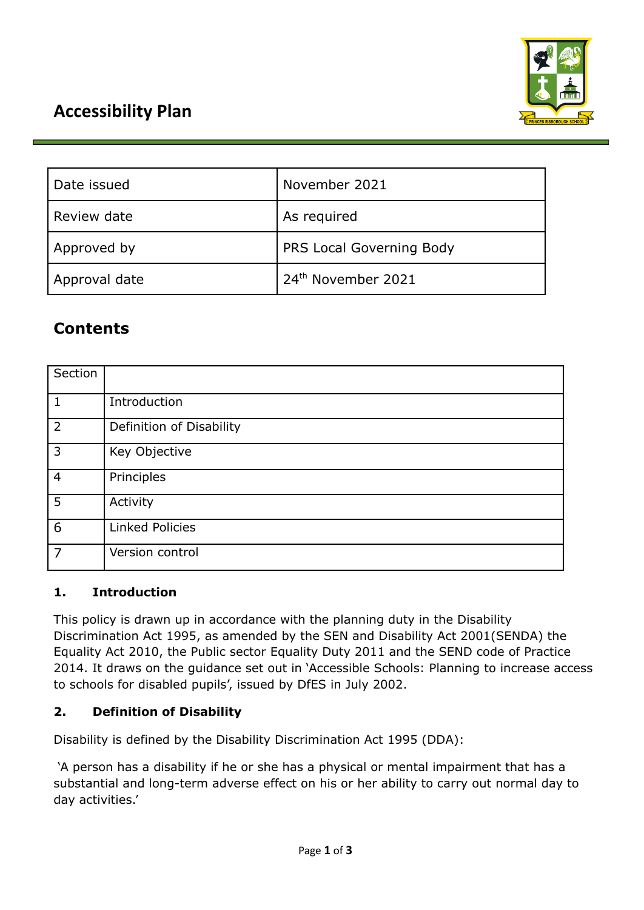

# **Accessibility Plan**

| Date issued   | November 2021                  |
|---------------|--------------------------------|
| Review date   | As required                    |
| Approved by   | PRS Local Governing Body       |
| Approval date | 24 <sup>th</sup> November 2021 |

# **Contents**

| Section        |                          |
|----------------|--------------------------|
| 1              | Introduction             |
| $\overline{2}$ | Definition of Disability |
| 3              | Key Objective            |
| $\overline{4}$ | Principles               |
| 5              | Activity                 |
| 6              | <b>Linked Policies</b>   |
| $\overline{7}$ | Version control          |

#### **1. Introduction**

This policy is drawn up in accordance with the planning duty in the Disability Discrimination Act 1995, as amended by the SEN and Disability Act 2001(SENDA) the Equality Act 2010, the Public sector Equality Duty 2011 and the SEND code of Practice 2014. It draws on the guidance set out in 'Accessible Schools: Planning to increase access to schools for disabled pupils', issued by DfES in July 2002.

# **2. Definition of Disability**

Disability is defined by the Disability Discrimination Act 1995 (DDA):

'A person has a disability if he or she has a physical or mental impairment that has a substantial and long-term adverse effect on his or her ability to carry out normal day to day activities.'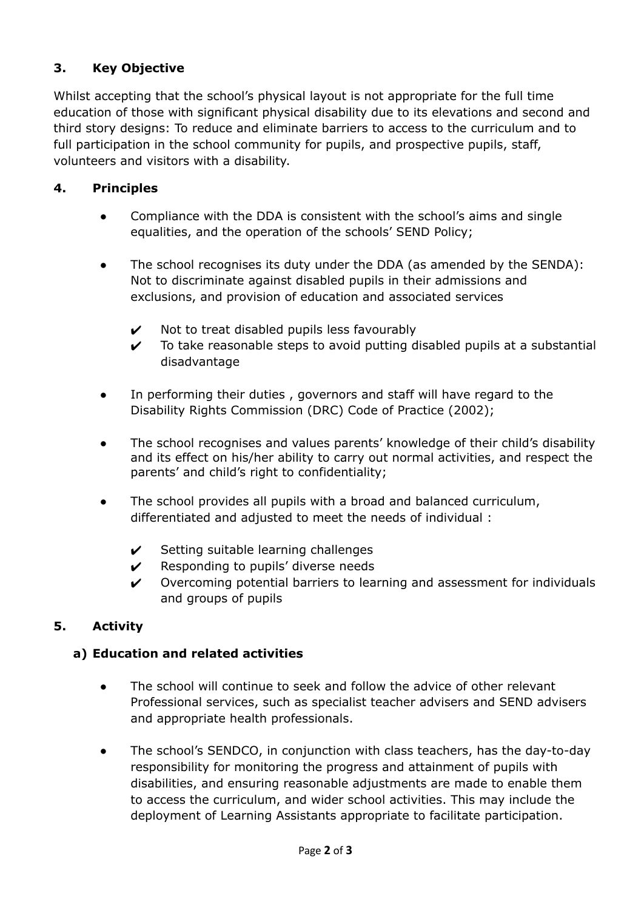# **3. Key Objective**

Whilst accepting that the school's physical layout is not appropriate for the full time education of those with significant physical disability due to its elevations and second and third story designs: To reduce and eliminate barriers to access to the curriculum and to full participation in the school community for pupils, and prospective pupils, staff, volunteers and visitors with a disability.

# **4. Principles**

- Compliance with the DDA is consistent with the school's aims and single equalities, and the operation of the schools' SEND Policy;
- The school recognises its duty under the DDA (as amended by the SENDA): Not to discriminate against disabled pupils in their admissions and exclusions, and provision of education and associated services
	- $\boldsymbol{\nu}$  Not to treat disabled pupils less favourably
	- $\checkmark$  To take reasonable steps to avoid putting disabled pupils at a substantial disadvantage
- In performing their duties, governors and staff will have regard to the Disability Rights Commission (DRC) Code of Practice (2002);
- The school recognises and values parents' knowledge of their child's disability and its effect on his/her ability to carry out normal activities, and respect the parents' and child's right to confidentiality;
- The school provides all pupils with a broad and balanced curriculum, differentiated and adjusted to meet the needs of individual :
	- $\checkmark$  Setting suitable learning challenges
	- $\mathcal V$  Responding to pupils' diverse needs
	- $\checkmark$  Overcoming potential barriers to learning and assessment for individuals and groups of pupils

# **5. Activity**

#### **a) Education and related activities**

- The school will continue to seek and follow the advice of other relevant Professional services, such as specialist teacher advisers and SEND advisers and appropriate health professionals.
- The school's SENDCO, in conjunction with class teachers, has the day-to-day responsibility for monitoring the progress and attainment of pupils with disabilities, and ensuring reasonable adjustments are made to enable them to access the curriculum, and wider school activities. This may include the deployment of Learning Assistants appropriate to facilitate participation.